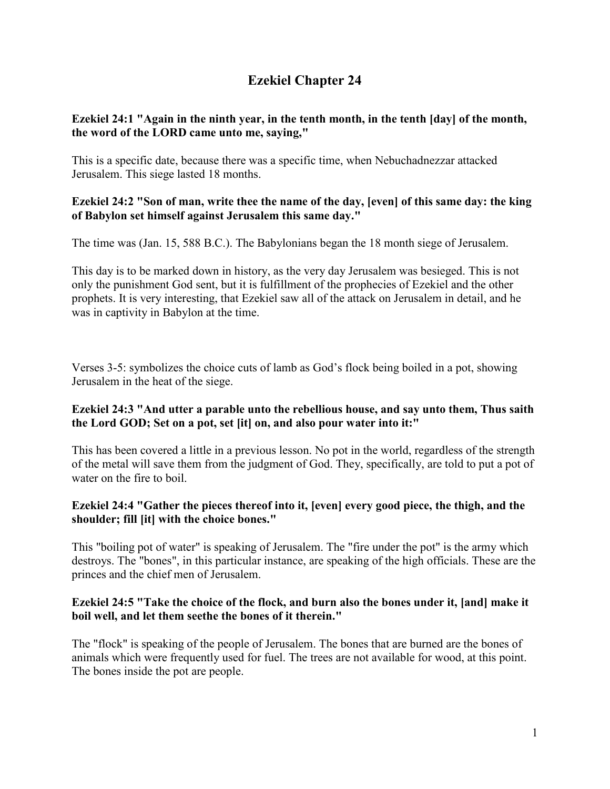# **Ezekiel Chapter 24**

# **Ezekiel 24:1 "Again in the ninth year, in the tenth month, in the tenth [day] of the month, the word of the LORD came unto me, saying,"**

This is a specific date, because there was a specific time, when Nebuchadnezzar attacked Jerusalem. This siege lasted 18 months.

# **Ezekiel 24:2 "Son of man, write thee the name of the day, [even] of this same day: the king of Babylon set himself against Jerusalem this same day."**

The time was (Jan. 15, 588 B.C.). The Babylonians began the 18 month siege of Jerusalem.

This day is to be marked down in history, as the very day Jerusalem was besieged. This is not only the punishment God sent, but it is fulfillment of the prophecies of Ezekiel and the other prophets. It is very interesting, that Ezekiel saw all of the attack on Jerusalem in detail, and he was in captivity in Babylon at the time.

Verses 3-5: symbolizes the choice cuts of lamb as God's flock being boiled in a pot, showing Jerusalem in the heat of the siege.

# **Ezekiel 24:3 "And utter a parable unto the rebellious house, and say unto them, Thus saith the Lord GOD; Set on a pot, set [it] on, and also pour water into it:"**

This has been covered a little in a previous lesson. No pot in the world, regardless of the strength of the metal will save them from the judgment of God. They, specifically, are told to put a pot of water on the fire to boil.

# **Ezekiel 24:4 "Gather the pieces thereof into it, [even] every good piece, the thigh, and the shoulder; fill [it] with the choice bones."**

This "boiling pot of water" is speaking of Jerusalem. The "fire under the pot" is the army which destroys. The "bones", in this particular instance, are speaking of the high officials. These are the princes and the chief men of Jerusalem.

# **Ezekiel 24:5 "Take the choice of the flock, and burn also the bones under it, [and] make it boil well, and let them seethe the bones of it therein."**

The "flock" is speaking of the people of Jerusalem. The bones that are burned are the bones of animals which were frequently used for fuel. The trees are not available for wood, at this point. The bones inside the pot are people.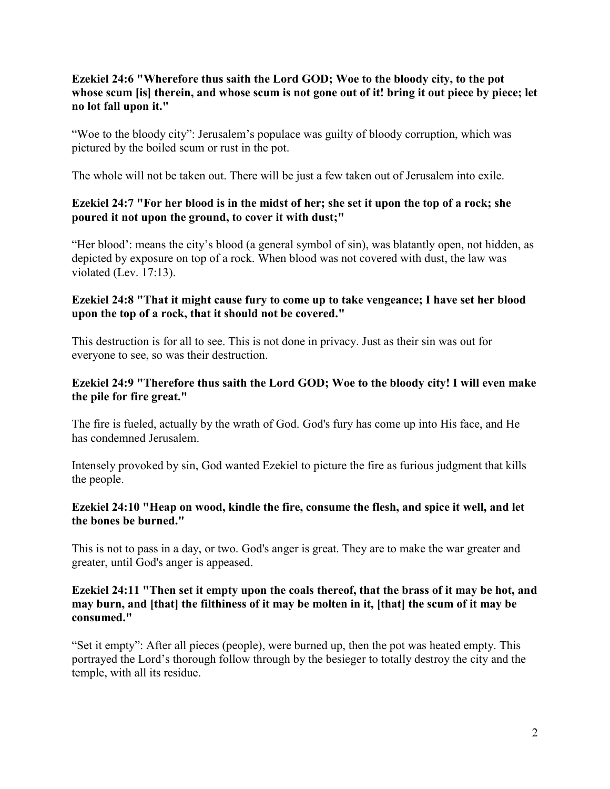# **Ezekiel 24:6 "Wherefore thus saith the Lord GOD; Woe to the bloody city, to the pot whose scum [is] therein, and whose scum is not gone out of it! bring it out piece by piece; let no lot fall upon it."**

"Woe to the bloody city": Jerusalem's populace was guilty of bloody corruption, which was pictured by the boiled scum or rust in the pot.

The whole will not be taken out. There will be just a few taken out of Jerusalem into exile.

# **Ezekiel 24:7 "For her blood is in the midst of her; she set it upon the top of a rock; she poured it not upon the ground, to cover it with dust;"**

"Her blood': means the city's blood (a general symbol of sin), was blatantly open, not hidden, as depicted by exposure on top of a rock. When blood was not covered with dust, the law was violated (Lev. 17:13).

#### **Ezekiel 24:8 "That it might cause fury to come up to take vengeance; I have set her blood upon the top of a rock, that it should not be covered."**

This destruction is for all to see. This is not done in privacy. Just as their sin was out for everyone to see, so was their destruction.

#### **Ezekiel 24:9 "Therefore thus saith the Lord GOD; Woe to the bloody city! I will even make the pile for fire great."**

The fire is fueled, actually by the wrath of God. God's fury has come up into His face, and He has condemned Jerusalem.

Intensely provoked by sin, God wanted Ezekiel to picture the fire as furious judgment that kills the people.

#### **Ezekiel 24:10 "Heap on wood, kindle the fire, consume the flesh, and spice it well, and let the bones be burned."**

This is not to pass in a day, or two. God's anger is great. They are to make the war greater and greater, until God's anger is appeased.

#### **Ezekiel 24:11 "Then set it empty upon the coals thereof, that the brass of it may be hot, and may burn, and [that] the filthiness of it may be molten in it, [that] the scum of it may be consumed."**

"Set it empty": After all pieces (people), were burned up, then the pot was heated empty. This portrayed the Lord's thorough follow through by the besieger to totally destroy the city and the temple, with all its residue.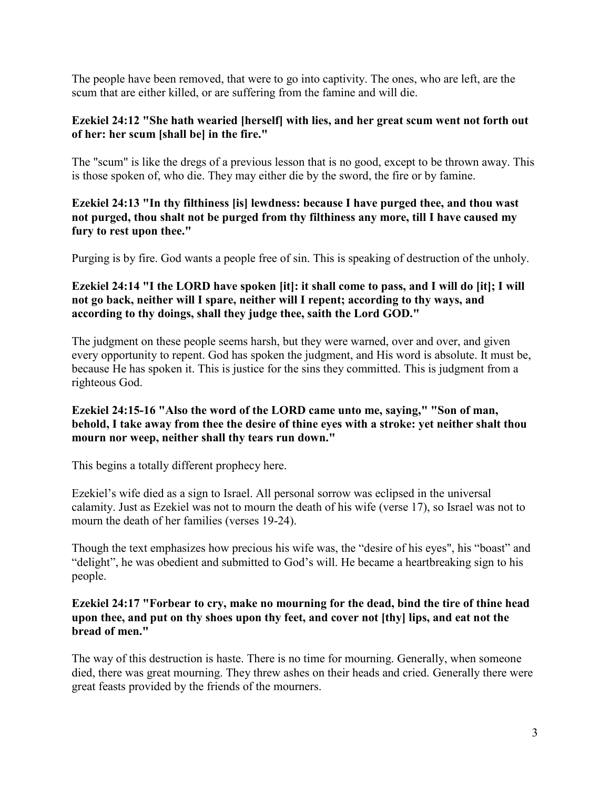The people have been removed, that were to go into captivity. The ones, who are left, are the scum that are either killed, or are suffering from the famine and will die.

#### **Ezekiel 24:12 "She hath wearied [herself] with lies, and her great scum went not forth out of her: her scum [shall be] in the fire."**

The "scum" is like the dregs of a previous lesson that is no good, except to be thrown away. This is those spoken of, who die. They may either die by the sword, the fire or by famine.

**Ezekiel 24:13 "In thy filthiness [is] lewdness: because I have purged thee, and thou wast not purged, thou shalt not be purged from thy filthiness any more, till I have caused my fury to rest upon thee."**

Purging is by fire. God wants a people free of sin. This is speaking of destruction of the unholy.

# **Ezekiel 24:14 "I the LORD have spoken [it]: it shall come to pass, and I will do [it]; I will not go back, neither will I spare, neither will I repent; according to thy ways, and according to thy doings, shall they judge thee, saith the Lord GOD."**

The judgment on these people seems harsh, but they were warned, over and over, and given every opportunity to repent. God has spoken the judgment, and His word is absolute. It must be, because He has spoken it. This is justice for the sins they committed. This is judgment from a righteous God.

# **Ezekiel 24:15-16 "Also the word of the LORD came unto me, saying," "Son of man, behold, I take away from thee the desire of thine eyes with a stroke: yet neither shalt thou mourn nor weep, neither shall thy tears run down."**

This begins a totally different prophecy here.

Ezekiel's wife died as a sign to Israel. All personal sorrow was eclipsed in the universal calamity. Just as Ezekiel was not to mourn the death of his wife (verse 17), so Israel was not to mourn the death of her families (verses 19-24).

Though the text emphasizes how precious his wife was, the "desire of his eyes", his "boast" and "delight", he was obedient and submitted to God's will. He became a heartbreaking sign to his people.

#### **Ezekiel 24:17 "Forbear to cry, make no mourning for the dead, bind the tire of thine head upon thee, and put on thy shoes upon thy feet, and cover not [thy] lips, and eat not the bread of men."**

The way of this destruction is haste. There is no time for mourning. Generally, when someone died, there was great mourning. They threw ashes on their heads and cried. Generally there were great feasts provided by the friends of the mourners.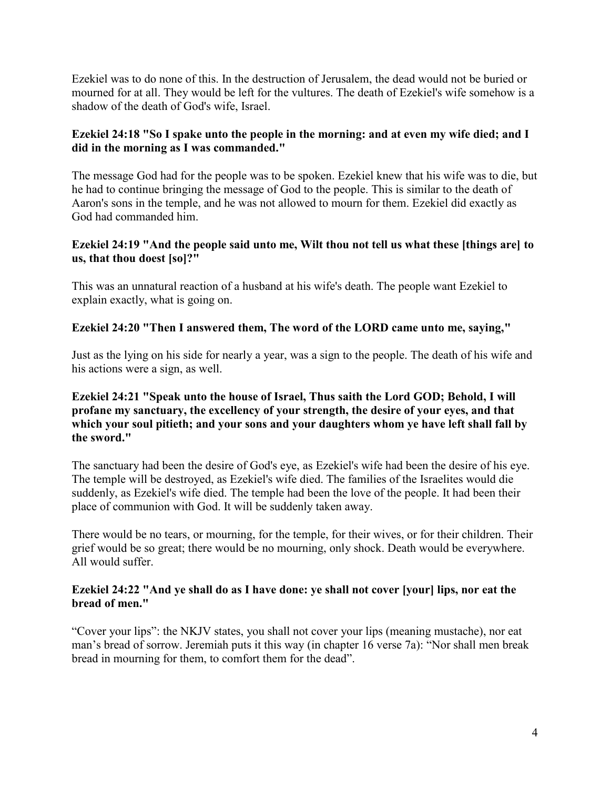Ezekiel was to do none of this. In the destruction of Jerusalem, the dead would not be buried or mourned for at all. They would be left for the vultures. The death of Ezekiel's wife somehow is a shadow of the death of God's wife, Israel.

# **Ezekiel 24:18 "So I spake unto the people in the morning: and at even my wife died; and I did in the morning as I was commanded."**

The message God had for the people was to be spoken. Ezekiel knew that his wife was to die, but he had to continue bringing the message of God to the people. This is similar to the death of Aaron's sons in the temple, and he was not allowed to mourn for them. Ezekiel did exactly as God had commanded him.

# **Ezekiel 24:19 "And the people said unto me, Wilt thou not tell us what these [things are] to us, that thou doest [so]?"**

This was an unnatural reaction of a husband at his wife's death. The people want Ezekiel to explain exactly, what is going on.

# **Ezekiel 24:20 "Then I answered them, The word of the LORD came unto me, saying,"**

Just as the lying on his side for nearly a year, was a sign to the people. The death of his wife and his actions were a sign, as well.

# **Ezekiel 24:21 "Speak unto the house of Israel, Thus saith the Lord GOD; Behold, I will profane my sanctuary, the excellency of your strength, the desire of your eyes, and that which your soul pitieth; and your sons and your daughters whom ye have left shall fall by the sword."**

The sanctuary had been the desire of God's eye, as Ezekiel's wife had been the desire of his eye. The temple will be destroyed, as Ezekiel's wife died. The families of the Israelites would die suddenly, as Ezekiel's wife died. The temple had been the love of the people. It had been their place of communion with God. It will be suddenly taken away.

There would be no tears, or mourning, for the temple, for their wives, or for their children. Their grief would be so great; there would be no mourning, only shock. Death would be everywhere. All would suffer.

# **Ezekiel 24:22 "And ye shall do as I have done: ye shall not cover [your] lips, nor eat the bread of men."**

"Cover your lips": the NKJV states, you shall not cover your lips (meaning mustache), nor eat man's bread of sorrow. Jeremiah puts it this way (in chapter 16 verse 7a): "Nor shall men break bread in mourning for them, to comfort them for the dead".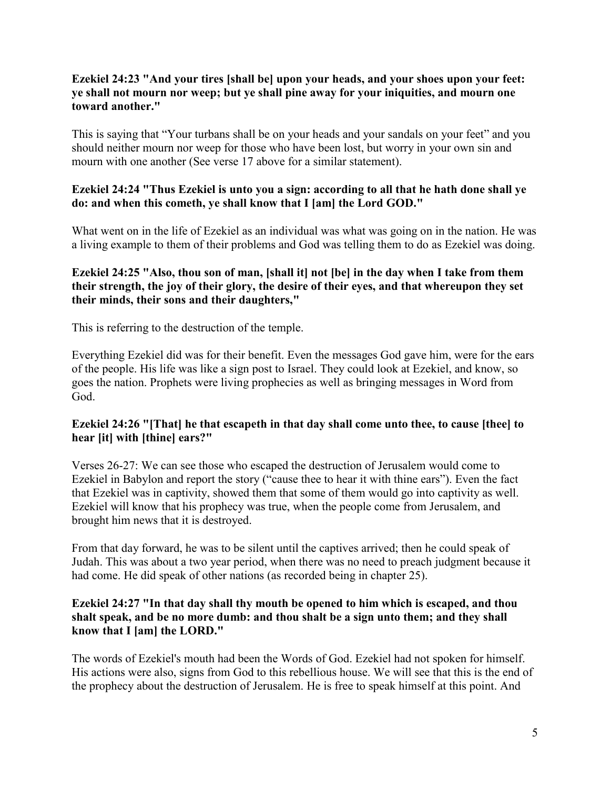# **Ezekiel 24:23 "And your tires [shall be] upon your heads, and your shoes upon your feet: ye shall not mourn nor weep; but ye shall pine away for your iniquities, and mourn one toward another."**

This is saying that "Your turbans shall be on your heads and your sandals on your feet" and you should neither mourn nor weep for those who have been lost, but worry in your own sin and mourn with one another (See verse 17 above for a similar statement).

# **Ezekiel 24:24 "Thus Ezekiel is unto you a sign: according to all that he hath done shall ye do: and when this cometh, ye shall know that I [am] the Lord GOD."**

What went on in the life of Ezekiel as an individual was what was going on in the nation. He was a living example to them of their problems and God was telling them to do as Ezekiel was doing.

# **Ezekiel 24:25 "Also, thou son of man, [shall it] not [be] in the day when I take from them their strength, the joy of their glory, the desire of their eyes, and that whereupon they set their minds, their sons and their daughters,"**

This is referring to the destruction of the temple.

Everything Ezekiel did was for their benefit. Even the messages God gave him, were for the ears of the people. His life was like a sign post to Israel. They could look at Ezekiel, and know, so goes the nation. Prophets were living prophecies as well as bringing messages in Word from God.

# **Ezekiel 24:26 "[That] he that escapeth in that day shall come unto thee, to cause [thee] to hear [it] with [thine] ears?"**

Verses 26-27: We can see those who escaped the destruction of Jerusalem would come to Ezekiel in Babylon and report the story ("cause thee to hear it with thine ears"). Even the fact that Ezekiel was in captivity, showed them that some of them would go into captivity as well. Ezekiel will know that his prophecy was true, when the people come from Jerusalem, and brought him news that it is destroyed.

From that day forward, he was to be silent until the captives arrived; then he could speak of Judah. This was about a two year period, when there was no need to preach judgment because it had come. He did speak of other nations (as recorded being in chapter 25).

#### **Ezekiel 24:27 "In that day shall thy mouth be opened to him which is escaped, and thou shalt speak, and be no more dumb: and thou shalt be a sign unto them; and they shall know that I [am] the LORD."**

The words of Ezekiel's mouth had been the Words of God. Ezekiel had not spoken for himself. His actions were also, signs from God to this rebellious house. We will see that this is the end of the prophecy about the destruction of Jerusalem. He is free to speak himself at this point. And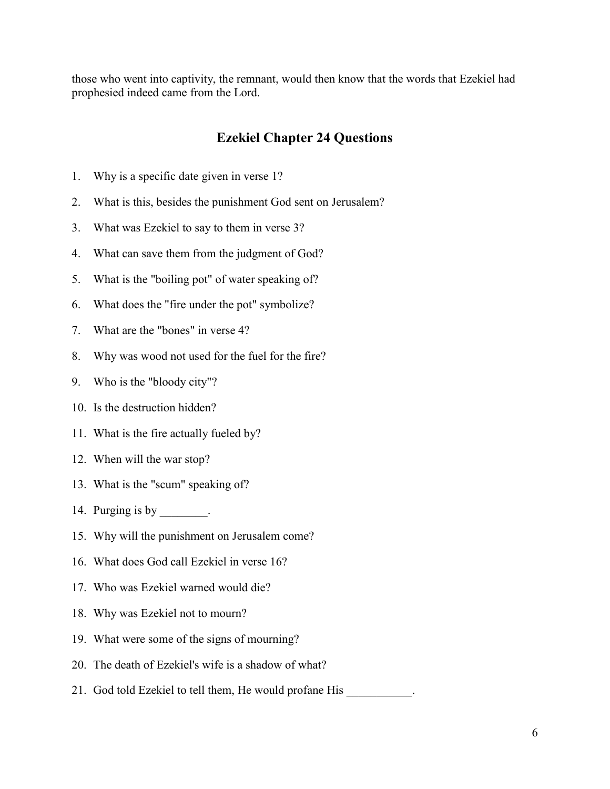those who went into captivity, the remnant, would then know that the words that Ezekiel had prophesied indeed came from the Lord.

# **Ezekiel Chapter 24 Questions**

- 1. Why is a specific date given in verse 1?
- 2. What is this, besides the punishment God sent on Jerusalem?
- 3. What was Ezekiel to say to them in verse 3?
- 4. What can save them from the judgment of God?
- 5. What is the "boiling pot" of water speaking of?
- 6. What does the "fire under the pot" symbolize?
- 7. What are the "bones" in verse 4?
- 8. Why was wood not used for the fuel for the fire?
- 9. Who is the "bloody city"?
- 10. Is the destruction hidden?
- 11. What is the fire actually fueled by?
- 12. When will the war stop?
- 13. What is the "scum" speaking of?
- 14. Purging is by  $\qquad \qquad$ .
- 15. Why will the punishment on Jerusalem come?
- 16. What does God call Ezekiel in verse 16?
- 17. Who was Ezekiel warned would die?
- 18. Why was Ezekiel not to mourn?
- 19. What were some of the signs of mourning?
- 20. The death of Ezekiel's wife is a shadow of what?
- 21. God told Ezekiel to tell them, He would profane His